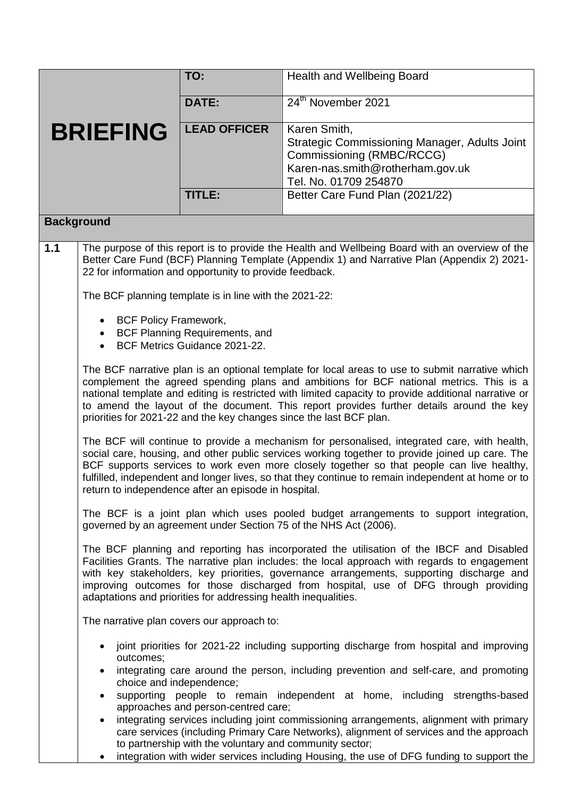|                 |                                                                                                                                                                                                                                                           | TO:                                                                                            | Health and Wellbeing Board                                                                                                                                                                                                                                                                                                                                                                                                                                           |  |  |  |
|-----------------|-----------------------------------------------------------------------------------------------------------------------------------------------------------------------------------------------------------------------------------------------------------|------------------------------------------------------------------------------------------------|----------------------------------------------------------------------------------------------------------------------------------------------------------------------------------------------------------------------------------------------------------------------------------------------------------------------------------------------------------------------------------------------------------------------------------------------------------------------|--|--|--|
|                 |                                                                                                                                                                                                                                                           | <b>DATE:</b>                                                                                   | 24th November 2021                                                                                                                                                                                                                                                                                                                                                                                                                                                   |  |  |  |
| <b>BRIEFING</b> |                                                                                                                                                                                                                                                           | <b>LEAD OFFICER</b>                                                                            | Karen Smith,<br>Strategic Commissioning Manager, Adults Joint<br>Commissioning (RMBC/RCCG)<br>Karen-nas.smith@rotherham.gov.uk<br>Tel. No. 01709 254870                                                                                                                                                                                                                                                                                                              |  |  |  |
|                 |                                                                                                                                                                                                                                                           | TITLE:                                                                                         | Better Care Fund Plan (2021/22)                                                                                                                                                                                                                                                                                                                                                                                                                                      |  |  |  |
|                 | <b>Background</b>                                                                                                                                                                                                                                         |                                                                                                |                                                                                                                                                                                                                                                                                                                                                                                                                                                                      |  |  |  |
| 1.1             | The purpose of this report is to provide the Health and Wellbeing Board with an overview of the<br>Better Care Fund (BCF) Planning Template (Appendix 1) and Narrative Plan (Appendix 2) 2021-<br>22 for information and opportunity to provide feedback. |                                                                                                |                                                                                                                                                                                                                                                                                                                                                                                                                                                                      |  |  |  |
|                 | The BCF planning template is in line with the 2021-22:                                                                                                                                                                                                    |                                                                                                |                                                                                                                                                                                                                                                                                                                                                                                                                                                                      |  |  |  |
|                 | <b>BCF Policy Framework,</b><br><b>BCF Planning Requirements, and</b><br>BCF Metrics Guidance 2021-22.                                                                                                                                                    |                                                                                                |                                                                                                                                                                                                                                                                                                                                                                                                                                                                      |  |  |  |
|                 |                                                                                                                                                                                                                                                           |                                                                                                | The BCF narrative plan is an optional template for local areas to use to submit narrative which<br>complement the agreed spending plans and ambitions for BCF national metrics. This is a<br>national template and editing is restricted with limited capacity to provide additional narrative or<br>to amend the layout of the document. This report provides further details around the key<br>priorities for 2021-22 and the key changes since the last BCF plan. |  |  |  |
|                 |                                                                                                                                                                                                                                                           | return to independence after an episode in hospital.                                           | The BCF will continue to provide a mechanism for personalised, integrated care, with health,<br>social care, housing, and other public services working together to provide joined up care. The<br>BCF supports services to work even more closely together so that people can live healthy,<br>fulfilled, independent and longer lives, so that they continue to remain independent at home or to                                                                   |  |  |  |
|                 |                                                                                                                                                                                                                                                           |                                                                                                | The BCF is a joint plan which uses pooled budget arrangements to support integration,<br>governed by an agreement under Section 75 of the NHS Act (2006).                                                                                                                                                                                                                                                                                                            |  |  |  |
|                 |                                                                                                                                                                                                                                                           | adaptations and priorities for addressing health inequalities.                                 | The BCF planning and reporting has incorporated the utilisation of the IBCF and Disabled<br>Facilities Grants. The narrative plan includes: the local approach with regards to engagement<br>with key stakeholders, key priorities, governance arrangements, supporting discharge and<br>improving outcomes for those discharged from hospital, use of DFG through providing                                                                                         |  |  |  |
|                 |                                                                                                                                                                                                                                                           | The narrative plan covers our approach to:                                                     |                                                                                                                                                                                                                                                                                                                                                                                                                                                                      |  |  |  |
|                 | $\bullet$<br>outcomes;<br>choice and independence;<br>$\bullet$                                                                                                                                                                                           | approaches and person-centred care;<br>to partnership with the voluntary and community sector; | joint priorities for 2021-22 including supporting discharge from hospital and improving<br>integrating care around the person, including prevention and self-care, and promoting<br>supporting people to remain independent at home, including strengths-based<br>integrating services including joint commissioning arrangements, alignment with primary<br>care services (including Primary Care Networks), alignment of services and the approach                 |  |  |  |

• integration with wider services including Housing, the use of DFG funding to support the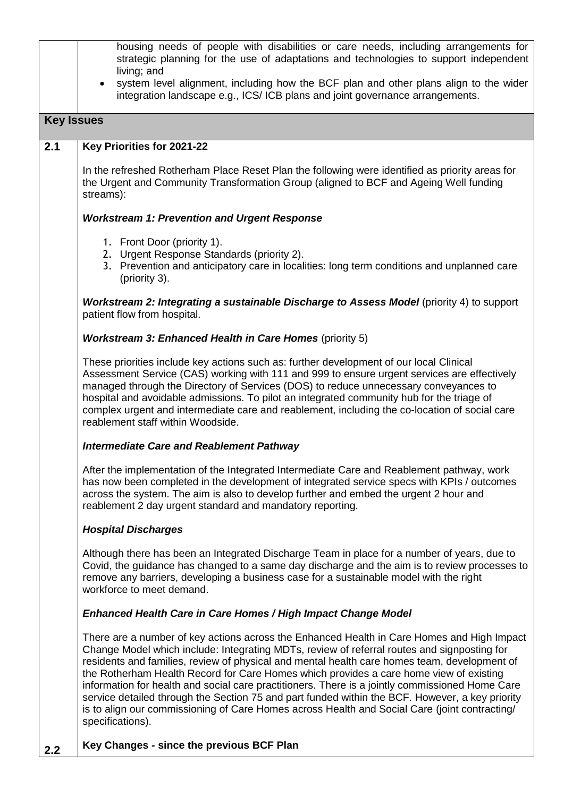|                   | housing needs of people with disabilities or care needs, including arrangements for<br>strategic planning for the use of adaptations and technologies to support independent<br>living; and<br>system level alignment, including how the BCF plan and other plans align to the wider<br>$\bullet$                                                                                                                                                                                                                                                                                                                                                                                                              |  |  |  |
|-------------------|----------------------------------------------------------------------------------------------------------------------------------------------------------------------------------------------------------------------------------------------------------------------------------------------------------------------------------------------------------------------------------------------------------------------------------------------------------------------------------------------------------------------------------------------------------------------------------------------------------------------------------------------------------------------------------------------------------------|--|--|--|
|                   | integration landscape e.g., ICS/ICB plans and joint governance arrangements.                                                                                                                                                                                                                                                                                                                                                                                                                                                                                                                                                                                                                                   |  |  |  |
| <b>Key Issues</b> |                                                                                                                                                                                                                                                                                                                                                                                                                                                                                                                                                                                                                                                                                                                |  |  |  |
| 2.1               | Key Priorities for 2021-22                                                                                                                                                                                                                                                                                                                                                                                                                                                                                                                                                                                                                                                                                     |  |  |  |
|                   | In the refreshed Rotherham Place Reset Plan the following were identified as priority areas for<br>the Urgent and Community Transformation Group (aligned to BCF and Ageing Well funding<br>streams):                                                                                                                                                                                                                                                                                                                                                                                                                                                                                                          |  |  |  |
|                   | <b>Workstream 1: Prevention and Urgent Response</b>                                                                                                                                                                                                                                                                                                                                                                                                                                                                                                                                                                                                                                                            |  |  |  |
|                   | 1. Front Door (priority 1).<br>2. Urgent Response Standards (priority 2).<br>3. Prevention and anticipatory care in localities: long term conditions and unplanned care<br>(priority 3).                                                                                                                                                                                                                                                                                                                                                                                                                                                                                                                       |  |  |  |
|                   | <b>Workstream 2: Integrating a sustainable Discharge to Assess Model (priority 4) to support</b><br>patient flow from hospital.                                                                                                                                                                                                                                                                                                                                                                                                                                                                                                                                                                                |  |  |  |
|                   | <b>Workstream 3: Enhanced Health in Care Homes (priority 5)</b>                                                                                                                                                                                                                                                                                                                                                                                                                                                                                                                                                                                                                                                |  |  |  |
|                   | These priorities include key actions such as: further development of our local Clinical<br>Assessment Service (CAS) working with 111 and 999 to ensure urgent services are effectively<br>managed through the Directory of Services (DOS) to reduce unnecessary conveyances to<br>hospital and avoidable admissions. To pilot an integrated community hub for the triage of<br>complex urgent and intermediate care and reablement, including the co-location of social care<br>reablement staff within Woodside.                                                                                                                                                                                              |  |  |  |
|                   | <b>Intermediate Care and Reablement Pathway</b>                                                                                                                                                                                                                                                                                                                                                                                                                                                                                                                                                                                                                                                                |  |  |  |
|                   | After the implementation of the Integrated Intermediate Care and Reablement pathway, work<br>has now been completed in the development of integrated service specs with KPIs / outcomes<br>across the system. The aim is also to develop further and embed the urgent 2 hour and<br>reablement 2 day urgent standard and mandatory reporting.                                                                                                                                                                                                                                                                                                                                                                  |  |  |  |
|                   | <b>Hospital Discharges</b>                                                                                                                                                                                                                                                                                                                                                                                                                                                                                                                                                                                                                                                                                     |  |  |  |
|                   | Although there has been an Integrated Discharge Team in place for a number of years, due to<br>Covid, the guidance has changed to a same day discharge and the aim is to review processes to<br>remove any barriers, developing a business case for a sustainable model with the right<br>workforce to meet demand.<br>Enhanced Health Care in Care Homes / High Impact Change Model                                                                                                                                                                                                                                                                                                                           |  |  |  |
|                   |                                                                                                                                                                                                                                                                                                                                                                                                                                                                                                                                                                                                                                                                                                                |  |  |  |
|                   | There are a number of key actions across the Enhanced Health in Care Homes and High Impact<br>Change Model which include: Integrating MDTs, review of referral routes and signposting for<br>residents and families, review of physical and mental health care homes team, development of<br>the Rotherham Health Record for Care Homes which provides a care home view of existing<br>information for health and social care practitioners. There is a jointly commissioned Home Care<br>service detailed through the Section 75 and part funded within the BCF. However, a key priority<br>is to align our commissioning of Care Homes across Health and Social Care (joint contracting/<br>specifications). |  |  |  |
| 2.2               | Key Changes - since the previous BCF Plan                                                                                                                                                                                                                                                                                                                                                                                                                                                                                                                                                                                                                                                                      |  |  |  |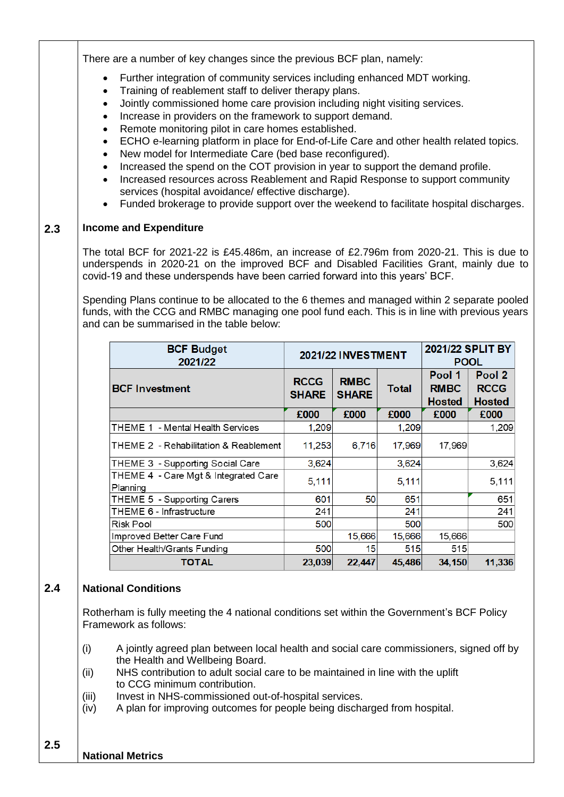There are a number of key changes since the previous BCF plan, namely:

- Further integration of community services including enhanced MDT working.
- Training of reablement staff to deliver therapy plans.
- Jointly commissioned home care provision including night visiting services.
- Increase in providers on the framework to support demand.
- Remote monitoring pilot in care homes established.
- ECHO e-learning platform in place for End-of-Life Care and other health related topics.
- New model for Intermediate Care (bed base reconfigured).
- Increased the spend on the COT provision in year to support the demand profile.
- Increased resources across Reablement and Rapid Response to support community services (hospital avoidance/ effective discharge).
- Funded brokerage to provide support over the weekend to facilitate hospital discharges.

## **2.3 Income and Expenditure**

The total BCF for 2021-22 is £45.486m, an increase of £2.796m from 2020-21. This is due to underspends in 2020-21 on the improved BCF and Disabled Facilities Grant, mainly due to covid-19 and these underspends have been carried forward into this years' BCF.

Spending Plans continue to be allocated to the 6 themes and managed within 2 separate pooled funds, with the CCG and RMBC managing one pool fund each. This is in line with previous years and can be summarised in the table below:

| <b>BCF Budget</b><br>2021/22                     | <b>2021/22 INVESTMENT</b>   |                             |        | 2021/22 SPLIT BY<br><b>POOL</b>        |                                        |
|--------------------------------------------------|-----------------------------|-----------------------------|--------|----------------------------------------|----------------------------------------|
| <b>BCF Investment</b>                            | <b>RCCG</b><br><b>SHARE</b> | <b>RMBC</b><br><b>SHARE</b> | Total  | Pool 1<br><b>RMBC</b><br><b>Hosted</b> | Pool 2<br><b>RCCG</b><br><b>Hosted</b> |
|                                                  | £000                        | £000                        | £000   | £000                                   | £000                                   |
| THEME 1 - Mental Health Services                 | 1,209                       |                             | 1,209  |                                        | 1,209                                  |
| THEME 2 - Rehabilitation & Reablement            | 11,253                      | 6,716                       | 17,969 | 17,969                                 |                                        |
| THEME 3 - Supporting Social Care                 | 3,624                       |                             | 3,624  |                                        | 3,624                                  |
| THEME 4 - Care Mgt & Integrated Care<br>Planning | 5,111                       |                             | 5,111  |                                        | 5,111                                  |
| THEME 5 - Supporting Carers                      | 601                         | 50                          | 651    |                                        | 651                                    |
| THEME 6 - Infrastructure                         | 241                         |                             | 241    |                                        | 241                                    |
| Risk Pool                                        | 500                         |                             | 500    |                                        | 500                                    |
| Improved Better Care Fund                        |                             | 15,666                      | 15,666 | 15,666                                 |                                        |
| Other Health/Grants Funding                      | 500                         | 15                          | 515    | 515                                    |                                        |
| TOTAL                                            | 23,039                      | 22,447                      | 45,486 | 34,150                                 | 11,336                                 |

## **2.4 National Conditions**

Rotherham is fully meeting the 4 national conditions set within the Government's BCF Policy Framework as follows:

- (i) A jointly agreed plan between local health and social care commissioners, signed off by the Health and Wellbeing Board.
- (ii) NHS contribution to adult social care to be maintained in line with the uplift to CCG minimum contribution.
- (iii) Invest in NHS-commissioned out-of-hospital services.
- (iv) A plan for improving outcomes for people being discharged from hospital.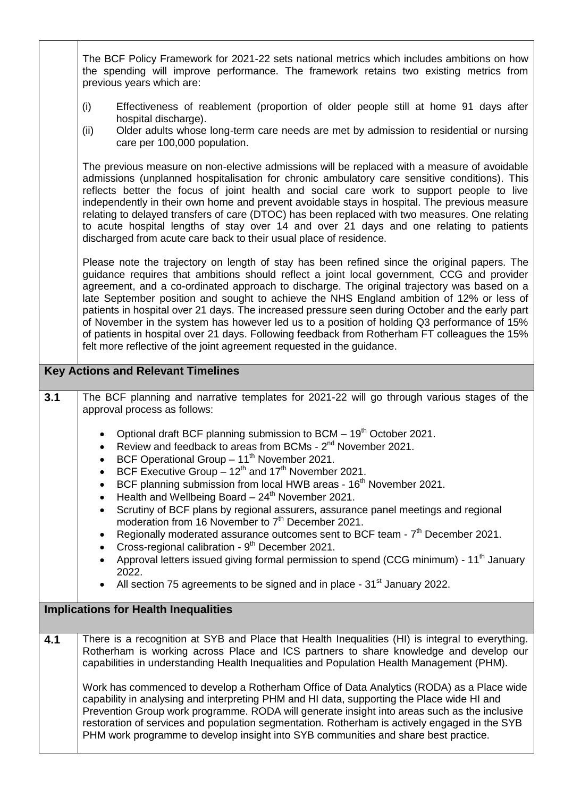|                                           | The BCF Policy Framework for 2021-22 sets national metrics which includes ambitions on how<br>the spending will improve performance. The framework retains two existing metrics from<br>previous years which are:                                                                                                                                                                                                                                                                                                                                                                                                                                                                                                                                                    |  |  |
|-------------------------------------------|----------------------------------------------------------------------------------------------------------------------------------------------------------------------------------------------------------------------------------------------------------------------------------------------------------------------------------------------------------------------------------------------------------------------------------------------------------------------------------------------------------------------------------------------------------------------------------------------------------------------------------------------------------------------------------------------------------------------------------------------------------------------|--|--|
|                                           | (i)<br>Effectiveness of reablement (proportion of older people still at home 91 days after<br>hospital discharge).<br>Older adults whose long-term care needs are met by admission to residential or nursing<br>(ii)<br>care per 100,000 population.                                                                                                                                                                                                                                                                                                                                                                                                                                                                                                                 |  |  |
|                                           | The previous measure on non-elective admissions will be replaced with a measure of avoidable<br>admissions (unplanned hospitalisation for chronic ambulatory care sensitive conditions). This<br>reflects better the focus of joint health and social care work to support people to live<br>independently in their own home and prevent avoidable stays in hospital. The previous measure<br>relating to delayed transfers of care (DTOC) has been replaced with two measures. One relating<br>to acute hospital lengths of stay over 14 and over 21 days and one relating to patients<br>discharged from acute care back to their usual place of residence.                                                                                                        |  |  |
|                                           | Please note the trajectory on length of stay has been refined since the original papers. The<br>guidance requires that ambitions should reflect a joint local government, CCG and provider<br>agreement, and a co-ordinated approach to discharge. The original trajectory was based on a<br>late September position and sought to achieve the NHS England ambition of 12% or less of<br>patients in hospital over 21 days. The increased pressure seen during October and the early part<br>of November in the system has however led us to a position of holding Q3 performance of 15%<br>of patients in hospital over 21 days. Following feedback from Rotherham FT colleagues the 15%<br>felt more reflective of the joint agreement requested in the guidance.  |  |  |
| <b>Key Actions and Relevant Timelines</b> |                                                                                                                                                                                                                                                                                                                                                                                                                                                                                                                                                                                                                                                                                                                                                                      |  |  |
| 3.1                                       | The BCF planning and narrative templates for 2021-22 will go through various stages of the<br>approval process as follows:                                                                                                                                                                                                                                                                                                                                                                                                                                                                                                                                                                                                                                           |  |  |
|                                           | Optional draft BCF planning submission to BCM - 19 <sup>th</sup> October 2021.<br>Review and feedback to areas from BCMs - 2 <sup>nd</sup> November 2021.<br>BCF Operational Group - 11 <sup>th</sup> November 2021.<br>BCF Executive Group - $12^{th}$ and $17^{th}$ November 2021.<br>BCF planning submission from local HWB areas - 16 <sup>th</sup> November 2021.<br>Health and Wellbeing Board $-24^{\text{th}}$ November 2021.<br>Scrutiny of BCF plans by regional assurers, assurance panel meetings and regional<br>moderation from 16 November to 7 <sup>th</sup> December 2021.<br>Regionally moderated assurance outcomes sent to BCF team - 7 <sup>th</sup> December 2021.<br>$\bullet$<br>Cross-regional calibration - 9 <sup>th</sup> December 2021. |  |  |
|                                           | Approval letters issued giving formal permission to spend (CCG minimum) - 11 <sup>th</sup> January<br>2022.                                                                                                                                                                                                                                                                                                                                                                                                                                                                                                                                                                                                                                                          |  |  |
|                                           | All section 75 agreements to be signed and in place - 31 <sup>st</sup> January 2022.                                                                                                                                                                                                                                                                                                                                                                                                                                                                                                                                                                                                                                                                                 |  |  |
|                                           | <b>Implications for Health Inequalities</b>                                                                                                                                                                                                                                                                                                                                                                                                                                                                                                                                                                                                                                                                                                                          |  |  |
| 4.1                                       | There is a recognition at SYB and Place that Health Inequalities (HI) is integral to everything.<br>Rotherham is working across Place and ICS partners to share knowledge and develop our<br>capabilities in understanding Health Inequalities and Population Health Management (PHM).                                                                                                                                                                                                                                                                                                                                                                                                                                                                               |  |  |
|                                           | Work has commenced to develop a Rotherham Office of Data Analytics (RODA) as a Place wide<br>capability in analysing and interpreting PHM and HI data, supporting the Place wide HI and<br>Prevention Group work programme. RODA will generate insight into areas such as the inclusive<br>restoration of services and population segmentation. Rotherham is actively engaged in the SYB<br>PHM work programme to develop insight into SYB communities and share best practice.                                                                                                                                                                                                                                                                                      |  |  |